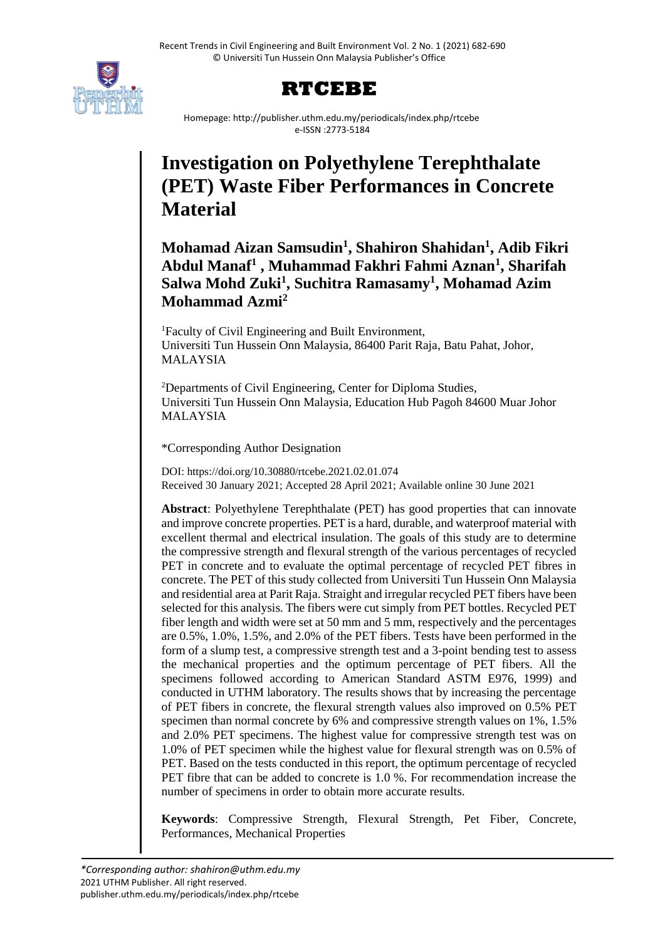

# **RTCEBE**

Homepage: http://publisher.uthm.edu.my/periodicals/index.php/rtcebe e-ISSN :2773-5184

# **Investigation on Polyethylene Terephthalate (PET) Waste Fiber Performances in Concrete Material**

**Mohamad Aizan Samsudin<sup>1</sup> , Shahiron Shahidan<sup>1</sup> , Adib Fikri Abdul Manaf<sup>1</sup> , Muhammad Fakhri Fahmi Aznan<sup>1</sup> , Sharifah Salwa Mohd Zuki<sup>1</sup> , Suchitra Ramasamy<sup>1</sup> , Mohamad Azim Mohammad Azmi<sup>2</sup>**

<sup>1</sup>Faculty of Civil Engineering and Built Environment, Universiti Tun Hussein Onn Malaysia, 86400 Parit Raja, Batu Pahat, Johor, MALAYSIA

<sup>2</sup>Departments of Civil Engineering, Center for Diploma Studies, Universiti Tun Hussein Onn Malaysia, Education Hub Pagoh 84600 Muar Johor MALAYSIA

\*Corresponding Author Designation

DOI: https://doi.org/10.30880/rtcebe.2021.02.01.074 Received 30 January 2021; Accepted 28 April 2021; Available online 30 June 2021

**Abstract**: Polyethylene Terephthalate (PET) has good properties that can innovate and improve concrete properties. PET is a hard, durable, and waterproof material with excellent thermal and electrical insulation. The goals of this study are to determine the compressive strength and flexural strength of the various percentages of recycled PET in concrete and to evaluate the optimal percentage of recycled PET fibres in concrete. The PET of this study collected from Universiti Tun Hussein Onn Malaysia and residential area at Parit Raja. Straight and irregular recycled PET fibers have been selected for this analysis. The fibers were cut simply from PET bottles. Recycled PET fiber length and width were set at 50 mm and 5 mm, respectively and the percentages are 0.5%, 1.0%, 1.5%, and 2.0% of the PET fibers. Tests have been performed in the form of a slump test, a compressive strength test and a 3-point bending test to assess the mechanical properties and the optimum percentage of PET fibers. All the specimens followed according to American Standard ASTM E976, 1999) and conducted in UTHM laboratory. The results shows that by increasing the percentage of PET fibers in concrete, the flexural strength values also improved on 0.5% PET specimen than normal concrete by 6% and compressive strength values on 1%, 1.5% and 2.0% PET specimens. The highest value for compressive strength test was on 1.0% of PET specimen while the highest value for flexural strength was on 0.5% of PET. Based on the tests conducted in this report, the optimum percentage of recycled PET fibre that can be added to concrete is 1.0 %. For recommendation increase the number of specimens in order to obtain more accurate results.

**Keywords**: Compressive Strength, Flexural Strength, Pet Fiber, Concrete, Performances, Mechanical Properties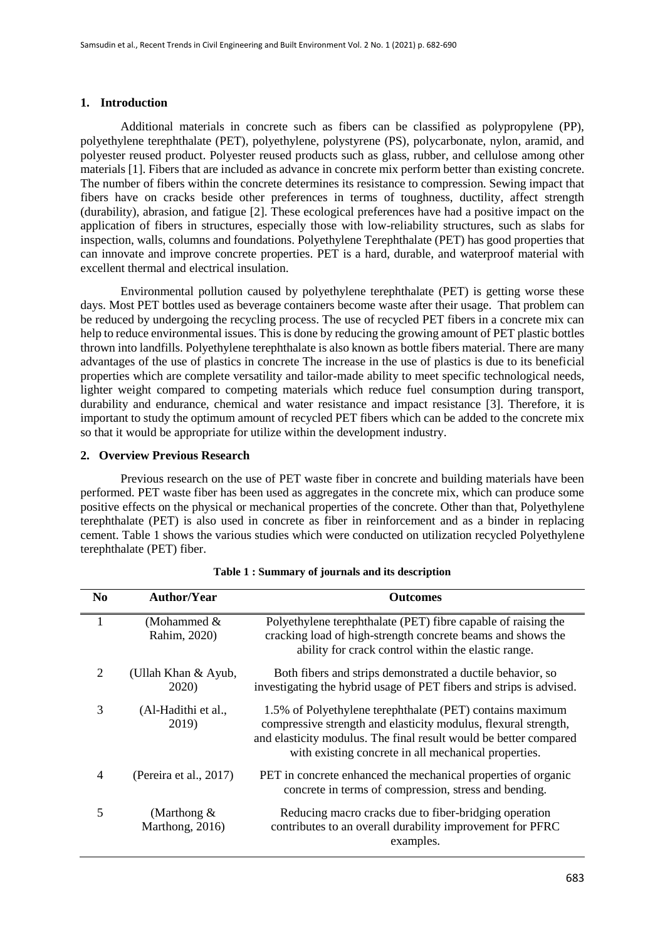#### **1. Introduction**

Additional materials in concrete such as fibers can be classified as polypropylene (PP), polyethylene terephthalate (PET), polyethylene, polystyrene (PS), polycarbonate, nylon, aramid, and polyester reused product. Polyester reused products such as glass, rubber, and cellulose among other materials [1]. Fibers that are included as advance in concrete mix perform better than existing concrete. The number of fibers within the concrete determines its resistance to compression. Sewing impact that fibers have on cracks beside other preferences in terms of toughness, ductility, affect strength (durability), abrasion, and fatigue [2]. These ecological preferences have had a positive impact on the application of fibers in structures, especially those with low-reliability structures, such as slabs for inspection, walls, columns and foundations. Polyethylene Terephthalate (PET) has good properties that can innovate and improve concrete properties. PET is a hard, durable, and waterproof material with excellent thermal and electrical insulation.

Environmental pollution caused by polyethylene terephthalate (PET) is getting worse these days. Most PET bottles used as beverage containers become waste after their usage. That problem can be reduced by undergoing the recycling process. The use of recycled PET fibers in a concrete mix can help to reduce environmental issues. This is done by reducing the growing amount of PET plastic bottles thrown into landfills. Polyethylene terephthalate is also known as bottle fibers material. There are many advantages of the use of plastics in concrete The increase in the use of plastics is due to its beneficial properties which are complete versatility and tailor-made ability to meet specific technological needs, lighter weight compared to competing materials which reduce fuel consumption during transport, durability and endurance, chemical and water resistance and impact resistance [3]. Therefore, it is important to study the optimum amount of recycled PET fibers which can be added to the concrete mix so that it would be appropriate for utilize within the development industry.

#### **2. Overview Previous Research**

Previous research on the use of PET waste fiber in concrete and building materials have been performed. PET waste fiber has been used as aggregates in the concrete mix, which can produce some positive effects on the physical or mechanical properties of the concrete. Other than that, Polyethylene terephthalate (PET) is also used in concrete as fiber in reinforcement and as a binder in replacing cement. Table 1 shows the various studies which were conducted on utilization recycled Polyethylene terephthalate (PET) fiber.

| N <sub>0</sub> | <b>Author/Year</b>                | <b>Outcomes</b>                                                                                                                                                                                                                                           |
|----------------|-----------------------------------|-----------------------------------------------------------------------------------------------------------------------------------------------------------------------------------------------------------------------------------------------------------|
| 1              | (Mohammed &<br>Rahim, 2020)       | Polyethylene terephthalate (PET) fibre capable of raising the<br>cracking load of high-strength concrete beams and shows the<br>ability for crack control within the elastic range.                                                                       |
| 2              | (Ullah Khan & Ayub,<br>2020)      | Both fibers and strips demonstrated a ductile behavior, so<br>investigating the hybrid usage of PET fibers and strips is advised.                                                                                                                         |
| 3              | (Al-Hadithi et al.,<br>2019)      | 1.5% of Polyethylene terephthalate (PET) contains maximum<br>compressive strength and elasticity modulus, flexural strength,<br>and elasticity modulus. The final result would be better compared<br>with existing concrete in all mechanical properties. |
| 4              | (Pereira et al., 2017)            | PET in concrete enhanced the mechanical properties of organic<br>concrete in terms of compression, stress and bending.                                                                                                                                    |
| 5              | (Marthong $\&$<br>Marthong, 2016) | Reducing macro cracks due to fiber-bridging operation<br>contributes to an overall durability improvement for PFRC<br>examples.                                                                                                                           |

**Table 1 : Summary of journals and its description**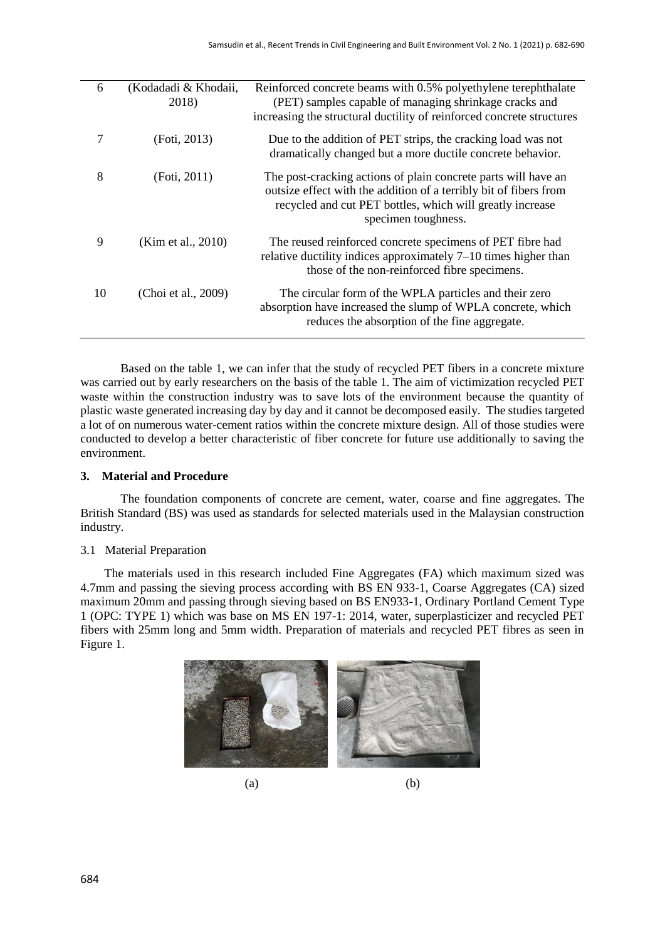| 6  | (Kodadadi & Khodaii,<br>2018) | Reinforced concrete beams with 0.5% polyethylene terephthalate<br>(PET) samples capable of managing shrinkage cracks and<br>increasing the structural ductility of reinforced concrete structures                       |
|----|-------------------------------|-------------------------------------------------------------------------------------------------------------------------------------------------------------------------------------------------------------------------|
|    | (Foti, 2013)                  | Due to the addition of PET strips, the cracking load was not<br>dramatically changed but a more ductile concrete behavior.                                                                                              |
| 8  | (Foti, 2011)                  | The post-cracking actions of plain concrete parts will have an<br>outsize effect with the addition of a terribly bit of fibers from<br>recycled and cut PET bottles, which will greatly increase<br>specimen toughness. |
| 9  | (Kim et al., 2010)            | The reused reinforced concrete specimens of PET fibre had<br>relative ductility indices approximately $7-10$ times higher than<br>those of the non-reinforced fibre specimens.                                          |
| 10 | (Choi et al., 2009)           | The circular form of the WPLA particles and their zero<br>absorption have increased the slump of WPLA concrete, which<br>reduces the absorption of the fine aggregate.                                                  |

Based on the table 1, we can infer that the study of recycled PET fibers in a concrete mixture was carried out by early researchers on the basis of the table 1. The aim of victimization recycled PET waste within the construction industry was to save lots of the environment because the quantity of plastic waste generated increasing day by day and it cannot be decomposed easily. The studies targeted a lot of on numerous water-cement ratios within the concrete mixture design. All of those studies were conducted to develop a better characteristic of fiber concrete for future use additionally to saving the environment.

#### **3. Material and Procedure**

The foundation components of concrete are cement, water, coarse and fine aggregates. The British Standard (BS) was used as standards for selected materials used in the Malaysian construction industry.

#### 3.1 Material Preparation

The materials used in this research included Fine Aggregates (FA) which maximum sized was 4.7mm and passing the sieving process according with BS EN 933-1, Coarse Aggregates (CA) sized maximum 20mm and passing through sieving based on BS EN933-1, Ordinary Portland Cement Type 1 (OPC: TYPE 1) which was base on MS EN 197-1: 2014, water, superplasticizer and recycled PET fibers with 25mm long and 5mm width. Preparation of materials and recycled PET fibres as seen in Figure 1.



 $(a)$  (b)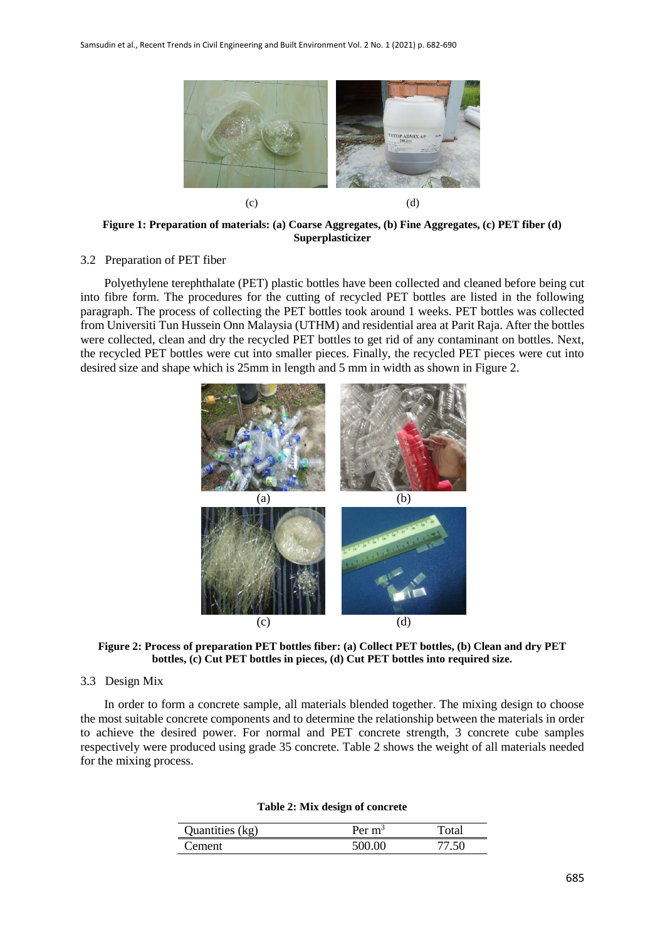

**Figure 1: Preparation of materials: (a) Coarse Aggregates, (b) Fine Aggregates, (c) PET fiber (d) Superplasticizer**

### 3.2 Preparation of PET fiber

Polyethylene terephthalate (PET) plastic bottles have been collected and cleaned before being cut into fibre form. The procedures for the cutting of recycled PET bottles are listed in the following paragraph. The process of collecting the PET bottles took around 1 weeks. PET bottles was collected from Universiti Tun Hussein Onn Malaysia (UTHM) and residential area at Parit Raja. After the bottles were collected, clean and dry the recycled PET bottles to get rid of any contaminant on bottles. Next, the recycled PET bottles were cut into smaller pieces. Finally, the recycled PET pieces were cut into desired size and shape which is 25mm in length and 5 mm in width as shown in Figure 2.



**Figure 2: Process of preparation PET bottles fiber: (a) Collect PET bottles, (b) Clean and dry PET bottles, (c) Cut PET bottles in pieces, (d) Cut PET bottles into required size.**

# 3.3 Design Mix

In order to form a concrete sample, all materials blended together. The mixing design to choose the most suitable concrete components and to determine the relationship between the materials in order to achieve the desired power. For normal and PET concrete strength, 3 concrete cube samples respectively were produced using grade 35 concrete. Table 2 shows the weight of all materials needed for the mixing process.

#### **Table 2: Mix design of concrete**

| Quantities (kg) | Per $m^3$ | `otal |
|-----------------|-----------|-------|
| ement           | 500 OO    | 77 50 |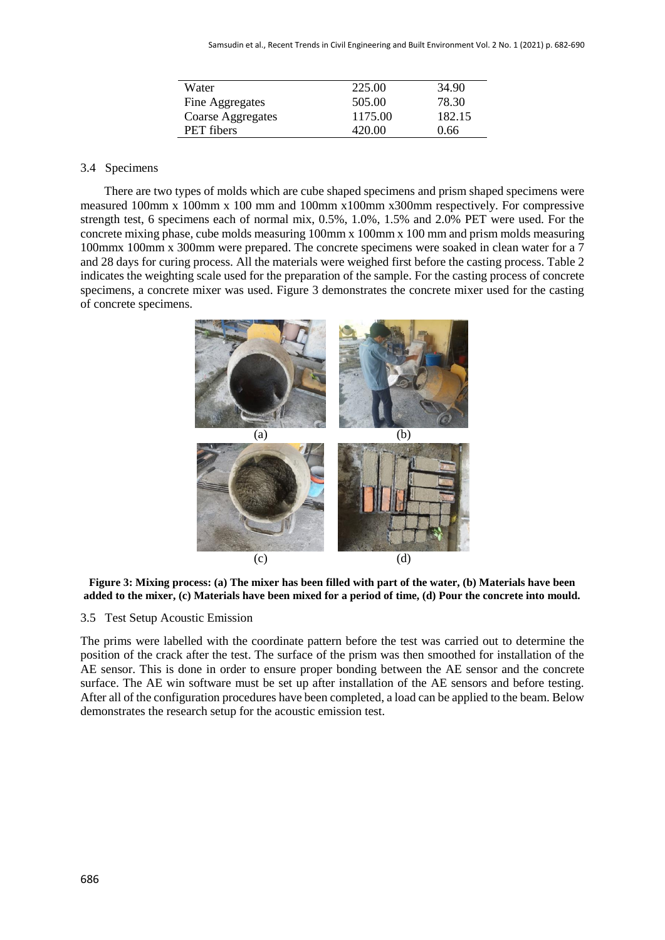| Water             | 225.00  | 34.90  |
|-------------------|---------|--------|
| Fine Aggregates   | 505.00  | 78.30  |
| Coarse Aggregates | 1175.00 | 182.15 |
| <b>PET</b> fibers | 420.00  | 0.66   |

# 3.4 Specimens

There are two types of molds which are cube shaped specimens and prism shaped specimens were measured 100mm x 100mm x 100 mm and 100mm x100mm x300mm respectively. For compressive strength test, 6 specimens each of normal mix, 0.5%, 1.0%, 1.5% and 2.0% PET were used. For the concrete mixing phase, cube molds measuring 100mm x 100mm x 100 mm and prism molds measuring 100mmx 100mm x 300mm were prepared. The concrete specimens were soaked in clean water for a 7 and 28 days for curing process. All the materials were weighed first before the casting process. Table 2 indicates the weighting scale used for the preparation of the sample. For the casting process of concrete specimens, a concrete mixer was used. Figure 3 demonstrates the concrete mixer used for the casting of concrete specimens.



**Figure 3: Mixing process: (a) The mixer has been filled with part of the water, (b) Materials have been added to the mixer, (c) Materials have been mixed for a period of time, (d) Pour the concrete into mould.**

#### 3.5 Test Setup Acoustic Emission

The prims were labelled with the coordinate pattern before the test was carried out to determine the position of the crack after the test. The surface of the prism was then smoothed for installation of the AE sensor. This is done in order to ensure proper bonding between the AE sensor and the concrete surface. The AE win software must be set up after installation of the AE sensors and before testing. After all of the configuration procedures have been completed, a load can be applied to the beam. Below demonstrates the research setup for the acoustic emission test.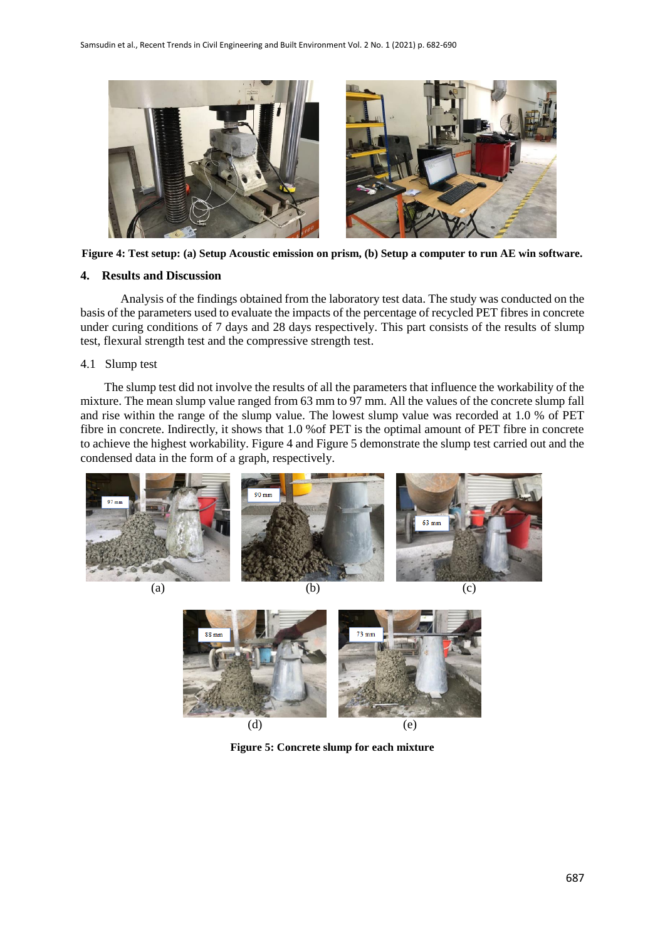



#### **4. Results and Discussion**

Analysis of the findings obtained from the laboratory test data. The study was conducted on the basis of the parameters used to evaluate the impacts of the percentage of recycled PET fibres in concrete under curing conditions of 7 days and 28 days respectively. This part consists of the results of slump test, flexural strength test and the compressive strength test.

## 4.1 Slump test

The slump test did not involve the results of all the parameters that influence the workability of the mixture. The mean slump value ranged from 63 mm to 97 mm. All the values of the concrete slump fall and rise within the range of the slump value. The lowest slump value was recorded at 1.0 % of PET fibre in concrete. Indirectly, it shows that 1.0 %of PET is the optimal amount of PET fibre in concrete to achieve the highest workability. Figure 4 and Figure 5 demonstrate the slump test carried out and the condensed data in the form of a graph, respectively.





**Figure 5: Concrete slump for each mixture**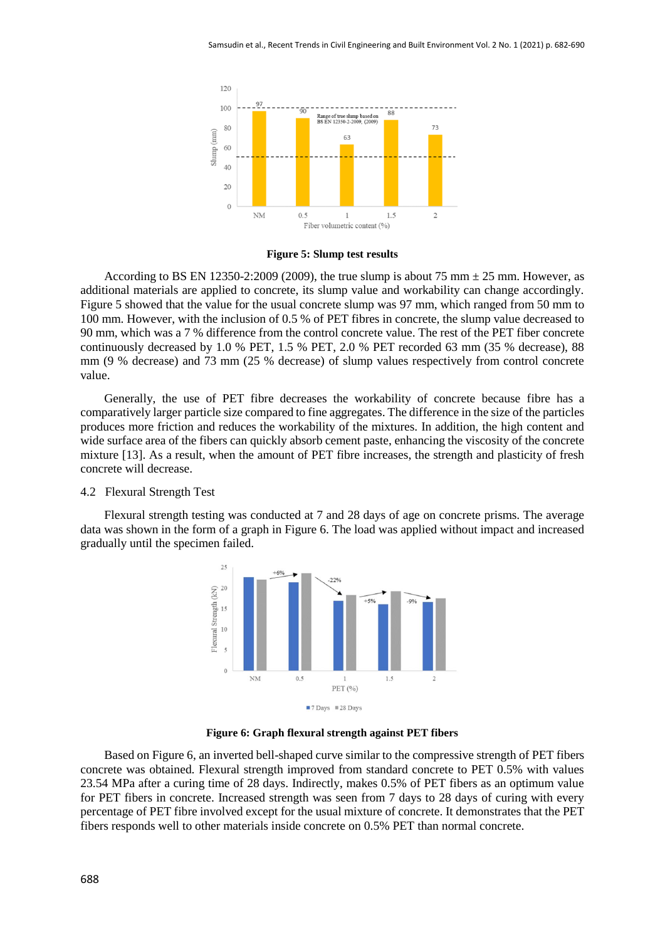

#### **Figure 5: Slump test results**

According to BS EN 12350-2:2009 (2009), the true slump is about 75 mm  $\pm$  25 mm. However, as additional materials are applied to concrete, its slump value and workability can change accordingly. Figure 5 showed that the value for the usual concrete slump was 97 mm, which ranged from 50 mm to 100 mm. However, with the inclusion of 0.5 % of PET fibres in concrete, the slump value decreased to 90 mm, which was a 7 % difference from the control concrete value. The rest of the PET fiber concrete continuously decreased by 1.0 % PET, 1.5 % PET, 2.0 % PET recorded 63 mm (35 % decrease), 88 mm (9 % decrease) and 73 mm (25 % decrease) of slump values respectively from control concrete value.

Generally, the use of PET fibre decreases the workability of concrete because fibre has a comparatively larger particle size compared to fine aggregates. The difference in the size of the particles produces more friction and reduces the workability of the mixtures. In addition, the high content and wide surface area of the fibers can quickly absorb cement paste, enhancing the viscosity of the concrete mixture [13]. As a result, when the amount of PET fibre increases, the strength and plasticity of fresh concrete will decrease.

#### 4.2 Flexural Strength Test

Flexural strength testing was conducted at 7 and 28 days of age on concrete prisms. The average data was shown in the form of a graph in Figure 6. The load was applied without impact and increased gradually until the specimen failed.



**Figure 6: Graph flexural strength against PET fibers**

Based on Figure 6, an inverted bell-shaped curve similar to the compressive strength of PET fibers concrete was obtained. Flexural strength improved from standard concrete to PET 0.5% with values 23.54 MPa after a curing time of 28 days. Indirectly, makes 0.5% of PET fibers as an optimum value for PET fibers in concrete. Increased strength was seen from 7 days to 28 days of curing with every percentage of PET fibre involved except for the usual mixture of concrete. It demonstrates that the PET fibers responds well to other materials inside concrete on 0.5% PET than normal concrete.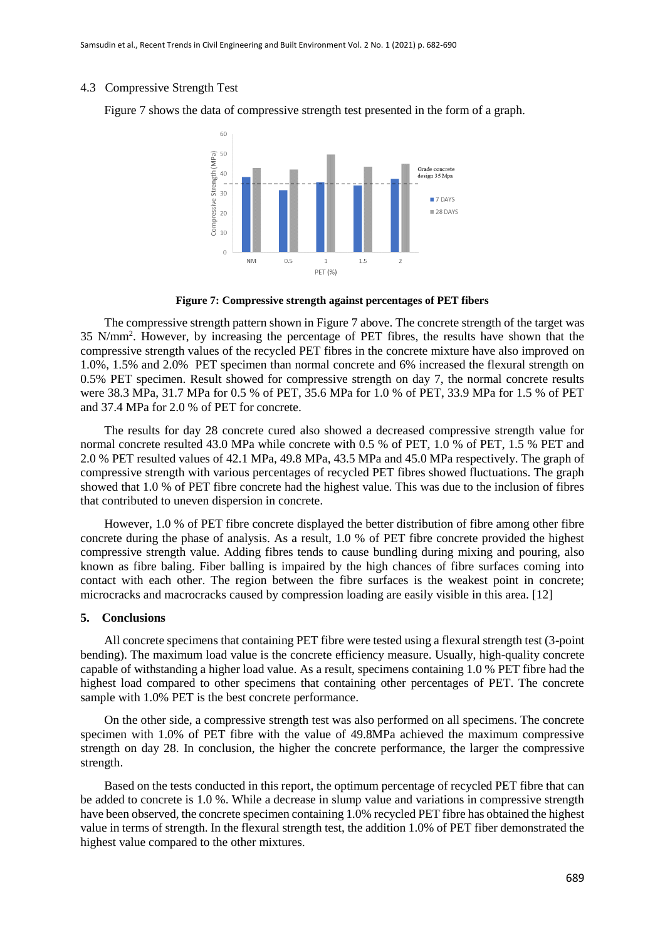#### 4.3 Compressive Strength Test

Figure 7 shows the data of compressive strength test presented in the form of a graph.



**Figure 7: Compressive strength against percentages of PET fibers**

The compressive strength pattern shown in Figure 7 above. The concrete strength of the target was 35 N/mm<sup>2</sup> . However, by increasing the percentage of PET fibres, the results have shown that the compressive strength values of the recycled PET fibres in the concrete mixture have also improved on 1.0%, 1.5% and 2.0% PET specimen than normal concrete and 6% increased the flexural strength on 0.5% PET specimen. Result showed for compressive strength on day 7, the normal concrete results were 38.3 MPa, 31.7 MPa for 0.5 % of PET, 35.6 MPa for 1.0 % of PET, 33.9 MPa for 1.5 % of PET and 37.4 MPa for 2.0 % of PET for concrete.

The results for day 28 concrete cured also showed a decreased compressive strength value for normal concrete resulted 43.0 MPa while concrete with 0.5 % of PET, 1.0 % of PET, 1.5 % PET and 2.0 % PET resulted values of 42.1 MPa, 49.8 MPa, 43.5 MPa and 45.0 MPa respectively. The graph of compressive strength with various percentages of recycled PET fibres showed fluctuations. The graph showed that 1.0 % of PET fibre concrete had the highest value. This was due to the inclusion of fibres that contributed to uneven dispersion in concrete.

However, 1.0 % of PET fibre concrete displayed the better distribution of fibre among other fibre concrete during the phase of analysis. As a result, 1.0 % of PET fibre concrete provided the highest compressive strength value. Adding fibres tends to cause bundling during mixing and pouring, also known as fibre baling. Fiber balling is impaired by the high chances of fibre surfaces coming into contact with each other. The region between the fibre surfaces is the weakest point in concrete; microcracks and macrocracks caused by compression loading are easily visible in this area. [12]

# **5. Conclusions**

All concrete specimens that containing PET fibre were tested using a flexural strength test (3-point bending). The maximum load value is the concrete efficiency measure. Usually, high-quality concrete capable of withstanding a higher load value. As a result, specimens containing 1.0 % PET fibre had the highest load compared to other specimens that containing other percentages of PET. The concrete sample with 1.0% PET is the best concrete performance.

On the other side, a compressive strength test was also performed on all specimens. The concrete specimen with 1.0% of PET fibre with the value of 49.8MPa achieved the maximum compressive strength on day 28. In conclusion, the higher the concrete performance, the larger the compressive strength.

Based on the tests conducted in this report, the optimum percentage of recycled PET fibre that can be added to concrete is 1.0 %. While a decrease in slump value and variations in compressive strength have been observed, the concrete specimen containing 1.0% recycled PET fibre has obtained the highest value in terms of strength. In the flexural strength test, the addition 1.0% of PET fiber demonstrated the highest value compared to the other mixtures.